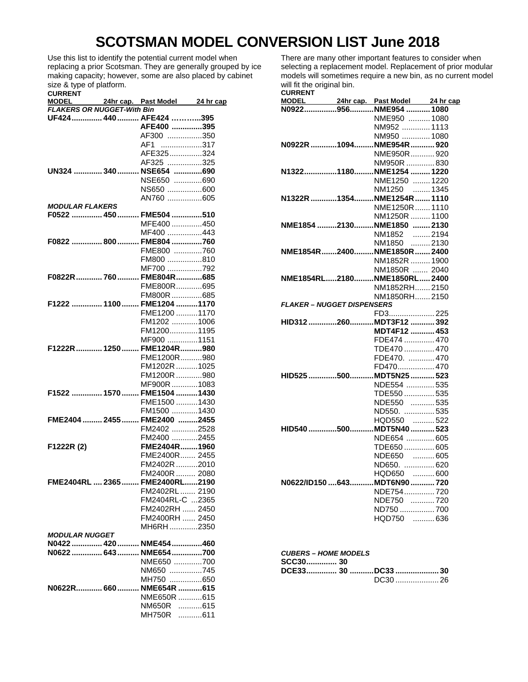## **SCOTSMAN MODEL CONVERSION LIST June 2018**

Use this list to identify the potential current model when replacing a prior Scotsman. They are generally grouped by ice making capacity; however, some are also placed by cabinet size & type of platform.

| <b>CURRENT</b> |  |
|----------------|--|
|                |  |

|                                   | MODEL 24hr cap. Past Model 24 hr cap |  |
|-----------------------------------|--------------------------------------|--|
| <b>FLAKERS OR NUGGET-With Bin</b> |                                      |  |
|                                   | UF424 440 AFE424 395                 |  |
|                                   | AFE400 395                           |  |
|                                   | AF300 350                            |  |
|                                   | AF1 317                              |  |
|                                   | AFE325324                            |  |
|                                   | AF325 325                            |  |
|                                   | UN324  340  NSE654 690               |  |
|                                   |                                      |  |
|                                   | NSE650 690                           |  |
|                                   | NS650 600                            |  |
|                                   | AN760 605                            |  |
| <b>MODULAR FLAKERS</b>            |                                      |  |
|                                   | F0522  450  FME504 510               |  |
|                                   | MFE400 450                           |  |
|                                   | MF400 443                            |  |
|                                   | F0822  800  FME804 760               |  |
|                                   | FME800 760                           |  |
|                                   | FM800 810                            |  |
|                                   | MF700 792                            |  |
|                                   | F0822R  760  FME804R  685            |  |
|                                   |                                      |  |
|                                   | FME800R695                           |  |
|                                   | FM800R 685                           |  |
|                                   | F1222  1100  FME1204 1170            |  |
|                                   | FME1200 1170                         |  |
|                                   | FM1202 1006                          |  |
|                                   | FM12001195                           |  |
|                                   | MF900 1151                           |  |
|                                   | F1222R 1250 FME1204R980              |  |
|                                   | FME1200R980                          |  |
|                                   | FM1202R 1025                         |  |
|                                   |                                      |  |
|                                   | FM1200R 980                          |  |
|                                   | MF900R 1083                          |  |
|                                   | F1522  1570  FME1504  1430           |  |
|                                   | FME1500 1430                         |  |
|                                   | FM1500 1430                          |  |
|                                   | FME2404  2455  FME2400 2455          |  |
|                                   | FM2402 2528                          |  |
|                                   | FM2400 2455                          |  |
| F1222R (2)                        | FME2404R1960                         |  |
|                                   | FME2400R 2455                        |  |
|                                   | FM2402R 2010                         |  |
|                                   |                                      |  |
|                                   | FM2400R  2080                        |  |
| FME2404RL  2365                   | FME2400RL2190                        |  |
|                                   | FM2402RL  2190                       |  |
|                                   | FM2404RL-C 2365                      |  |
|                                   | FM2402RH  2450                       |  |
|                                   | FM2400RH  2450                       |  |
|                                   | MH6RH2350                            |  |
| <b>MODULAR NUGGET</b>             |                                      |  |
|                                   | N0422  420  NME454 460               |  |
|                                   | N0622  643  NME654 700               |  |
|                                   | NME650 700                           |  |
|                                   | NM650 745                            |  |
|                                   |                                      |  |
|                                   | MH750 650                            |  |
|                                   | N0622R 660  NME654R 615              |  |
|                                   | NME650R 615                          |  |
|                                   | NM650R 615                           |  |
|                                   | MH750R 611                           |  |

There are many other important features to consider when selecting a replacement model. Replacement of prior modular models will sometimes require a new bin, as no current model will fit the original bin.

| <b>CURRENT</b>                    |                                |         |
|-----------------------------------|--------------------------------|---------|
| <b>MODEL</b>                      | 24hr cap. Past Model 24 hr cap |         |
|                                   | N0922956NME954  1080           |         |
|                                   | NME950  1080                   |         |
|                                   | NM952  1113                    |         |
|                                   | NM950  1080                    |         |
|                                   | N0922R 1094NME954R  920        |         |
|                                   | NME950R920                     |         |
|                                   | NM950R 830                     |         |
|                                   | N13221180NME12541220           |         |
|                                   | NME1250  1220                  |         |
|                                   | NM1250  1345                   |         |
|                                   | N1322R 1354NME1254R  1110      |         |
|                                   | NME1250R  1110                 |         |
|                                   | NM1250R  1100                  |         |
|                                   | NME1854 2130NME1850  2130      |         |
|                                   | NM1852                         | 2194    |
|                                   | NM1850 2130                    |         |
|                                   | NME1854R2400NME1850R2400       |         |
|                                   | NM1852R  1900                  |         |
|                                   | NM1850R  2040                  |         |
|                                   | NME1854RL2180NME1850RL2400     |         |
|                                   | NM1852RH2150                   |         |
|                                   | NM1850RH2150                   |         |
| <b>FLAKER - NUGGET DISPENSERS</b> |                                |         |
|                                   | FD3225                         |         |
|                                   | HID312260MDT3F12392            |         |
|                                   | MDT4F12  453                   |         |
|                                   | FDE474  470                    |         |
|                                   | TDE470  470                    |         |
|                                   | FDE470.  470                   |         |
|                                   | FD470 470                      |         |
|                                   | HID525 500MDT5N25  523         |         |
|                                   | NDE554 535                     |         |
|                                   | TDE550  535                    |         |
|                                   | NDE550  535                    |         |
|                                   | ND550. 535                     |         |
|                                   | HQD550                         | …………522 |
|                                   | HID540 500MDT5N40  523         |         |
|                                   | NDE654  605                    |         |
|                                   | TDE650  605                    |         |
|                                   | NDE650 605                     |         |
|                                   | ND650.  620                    |         |
|                                   | HQD650  600                    |         |
|                                   | N0622/ID150643MDT6N90720       |         |
|                                   | NDE754720                      |         |
|                                   | NDE750 720                     |         |
|                                   | ND750  700                     |         |
|                                   | HQD750                         | 636     |
|                                   |                                |         |

| <b>CUBERS – HOME MODELS</b> |  |  |
|-----------------------------|--|--|
|-----------------------------|--|--|

| SCC30 30          |  |         |
|-------------------|--|---------|
| DCE33 30 DC33  30 |  |         |
|                   |  | DC30 26 |